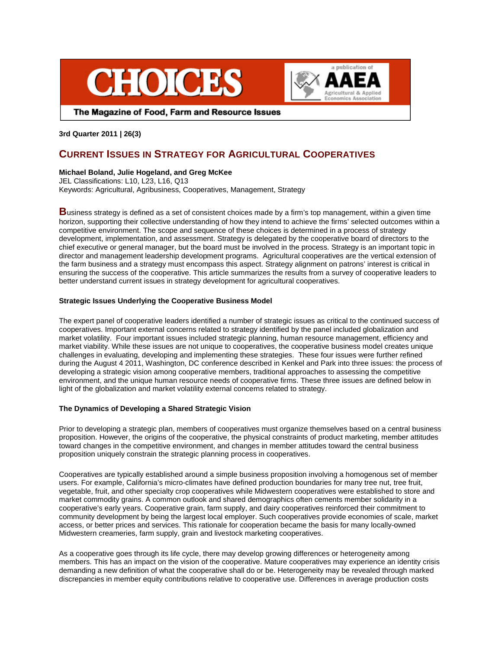



The Magazine of Food, Farm and Resource Issues

**3rd Quarter 2011 | 26(3)**

# **CURRENT ISSUES IN STRATEGY FOR AGRICULTURAL COOPERATIVES**

# **Michael Boland, Julie Hogeland, and Greg McKee**

JEL Classifications: L10, L23, L16, Q13 Keywords: Agricultural, Agribusiness, Cooperatives, Management, Strategy

**B**usiness strategy is defined as a set of consistent choices made by a firm's top management, within a given time horizon, supporting their collective understanding of how they intend to achieve the firms' selected outcomes within a competitive environment. The scope and sequence of these choices is determined in a process of strategy development, implementation, and assessment. Strategy is delegated by the cooperative board of directors to the chief executive or general manager, but the board must be involved in the process. Strategy is an important topic in director and management leadership development programs. Agricultural cooperatives are the vertical extension of the farm business and a strategy must encompass this aspect. Strategy alignment on patrons' interest is critical in ensuring the success of the cooperative. This article summarizes the results from a survey of cooperative leaders to better understand current issues in strategy development for agricultural cooperatives.

# **Strategic Issues Underlying the Cooperative Business Model**

The expert panel of cooperative leaders identified a number of strategic issues as critical to the continued success of cooperatives. Important external concerns related to strategy identified by the panel included globalization and market volatility. Four important issues included strategic planning, human resource management, efficiency and market viability. While these issues are not unique to cooperatives, the cooperative business model creates unique challenges in evaluating, developing and implementing these strategies. These four issues were further refined during the August 4 2011, Washington, DC conference described in Kenkel and Park into three issues: the process of developing a strategic vision among cooperative members, traditional approaches to assessing the competitive environment, and the unique human resource needs of cooperative firms. These three issues are defined below in light of the globalization and market volatility external concerns related to strategy.

# **The Dynamics of Developing a Shared Strategic Vision**

Prior to developing a strategic plan, members of cooperatives must organize themselves based on a central business proposition. However, the origins of the cooperative, the physical constraints of product marketing, member attitudes toward changes in the competitive environment, and changes in member attitudes toward the central business proposition uniquely constrain the strategic planning process in cooperatives.

Cooperatives are typically established around a simple business proposition involving a homogenous set of member users. For example, California's micro-climates have defined production boundaries for many tree nut, tree fruit, vegetable, fruit, and other specialty crop cooperatives while Midwestern cooperatives were established to store and market commodity grains. A common outlook and shared demographics often cements member solidarity in a cooperative's early years. Cooperative grain, farm supply, and dairy cooperatives reinforced their commitment to community development by being the largest local employer. Such cooperatives provide economies of scale, market access, or better prices and services. This rationale for cooperation became the basis for many locally-owned Midwestern creameries, farm supply, grain and livestock marketing cooperatives.

As a cooperative goes through its life cycle, there may develop growing differences or heterogeneity among members. This has an impact on the vision of the cooperative. Mature cooperatives may experience an identity crisis demanding a new definition of what the cooperative shall do or be. Heterogeneity may be revealed through marked discrepancies in member equity contributions relative to cooperative use. Differences in average production costs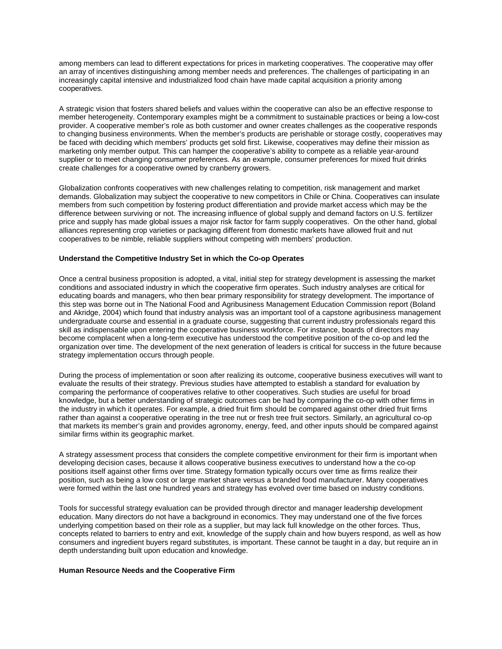among members can lead to different expectations for prices in marketing cooperatives. The cooperative may offer an array of incentives distinguishing among member needs and preferences. The challenges of participating in an increasingly capital intensive and industrialized food chain have made capital acquisition a priority among cooperatives.

A strategic vision that fosters shared beliefs and values within the cooperative can also be an effective response to member heterogeneity. Contemporary examples might be a commitment to sustainable practices or being a low-cost provider. A cooperative member's role as both customer and owner creates challenges as the cooperative responds to changing business environments. When the member's products are perishable or storage costly, cooperatives may be faced with deciding which members' products get sold first. Likewise, cooperatives may define their mission as marketing only member output. This can hamper the cooperative's ability to compete as a reliable year-around supplier or to meet changing consumer preferences. As an example, consumer preferences for mixed fruit drinks create challenges for a cooperative owned by cranberry growers.

Globalization confronts cooperatives with new challenges relating to competition, risk management and market demands. Globalization may subject the cooperative to new competitors in Chile or China. Cooperatives can insulate members from such competition by fostering product differentiation and provide market access which may be the difference between surviving or not. The increasing influence of global supply and demand factors on U.S. fertilizer price and supply has made global issues a major risk factor for farm supply cooperatives. On the other hand, global alliances representing crop varieties or packaging different from domestic markets have allowed fruit and nut cooperatives to be nimble, reliable suppliers without competing with members' production.

## **Understand the Competitive Industry Set in which the Co-op Operates**

Once a central business proposition is adopted, a vital, initial step for strategy development is assessing the market conditions and associated industry in which the cooperative firm operates. Such industry analyses are critical for educating boards and managers, who then bear primary responsibility for strategy development. The importance of this step was borne out in The National Food and Agribusiness Management Education Commission report (Boland and Akridge, 2004) which found that industry analysis was an important tool of a capstone agribusiness management undergraduate course and essential in a graduate course, suggesting that current industry professionals regard this skill as indispensable upon entering the cooperative business workforce. For instance, boards of directors may become complacent when a long-term executive has understood the competitive position of the co-op and led the organization over time. The development of the next generation of leaders is critical for success in the future because strategy implementation occurs through people.

During the process of implementation or soon after realizing its outcome, cooperative business executives will want to evaluate the results of their strategy. Previous studies have attempted to establish a standard for evaluation by comparing the performance of cooperatives relative to other cooperatives. Such studies are useful for broad knowledge, but a better understanding of strategic outcomes can be had by comparing the co-op with other firms in the industry in which it operates. For example, a dried fruit firm should be compared against other dried fruit firms rather than against a cooperative operating in the tree nut or fresh tree fruit sectors. Similarly, an agricultural co-op that markets its member's grain and provides agronomy, energy, feed, and other inputs should be compared against similar firms within its geographic market.

A strategy assessment process that considers the complete competitive environment for their firm is important when developing decision cases, because it allows cooperative business executives to understand how a the co-op positions itself against other firms over time. Strategy formation typically occurs over time as firms realize their position, such as being a low cost or large market share versus a branded food manufacturer. Many cooperatives were formed within the last one hundred years and strategy has evolved over time based on industry conditions.

Tools for successful strategy evaluation can be provided through director and manager leadership development education. Many directors do not have a background in economics. They may understand one of the five forces underlying competition based on their role as a supplier, but may lack full knowledge on the other forces. Thus, concepts related to barriers to entry and exit, knowledge of the supply chain and how buyers respond, as well as how consumers and ingredient buyers regard substitutes, is important. These cannot be taught in a day, but require an in depth understanding built upon education and knowledge.

## **Human Resource Needs and the Cooperative Firm**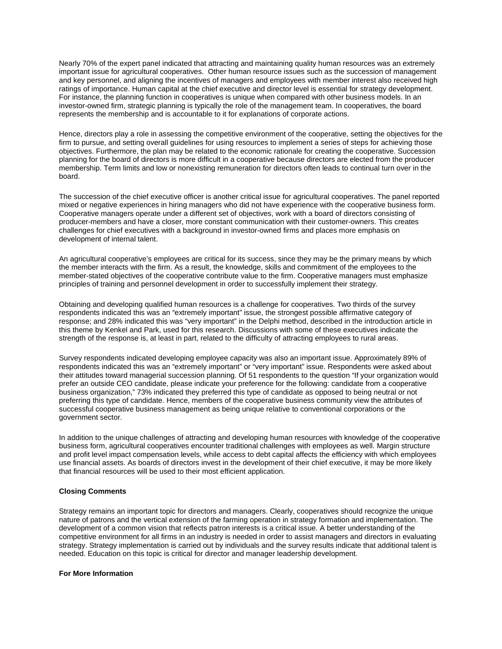Nearly 70% of the expert panel indicated that attracting and maintaining quality human resources was an extremely important issue for agricultural cooperatives. Other human resource issues such as the succession of management and key personnel, and aligning the incentives of managers and employees with member interest also received high ratings of importance. Human capital at the chief executive and director level is essential for strategy development. For instance, the planning function in cooperatives is unique when compared with other business models. In an investor-owned firm, strategic planning is typically the role of the management team. In cooperatives, the board represents the membership and is accountable to it for explanations of corporate actions.

Hence, directors play a role in assessing the competitive environment of the cooperative, setting the objectives for the firm to pursue, and setting overall guidelines for using resources to implement a series of steps for achieving those objectives. Furthermore, the plan may be related to the economic rationale for creating the cooperative. Succession planning for the board of directors is more difficult in a cooperative because directors are elected from the producer membership. Term limits and low or nonexisting remuneration for directors often leads to continual turn over in the board.

The succession of the chief executive officer is another critical issue for agricultural cooperatives. The panel reported mixed or negative experiences in hiring managers who did not have experience with the cooperative business form. Cooperative managers operate under a different set of objectives, work with a board of directors consisting of producer-members and have a closer, more constant communication with their customer-owners. This creates challenges for chief executives with a background in investor-owned firms and places more emphasis on development of internal talent.

An agricultural cooperative's employees are critical for its success, since they may be the primary means by which the member interacts with the firm. As a result, the knowledge, skills and commitment of the employees to the member-stated objectives of the cooperative contribute value to the firm. Cooperative managers must emphasize principles of training and personnel development in order to successfully implement their strategy.

Obtaining and developing qualified human resources is a challenge for cooperatives. Two thirds of the survey respondents indicated this was an "extremely important" issue, the strongest possible affirmative category of response; and 28% indicated this was "very important" in the Delphi method, described in the introduction article in this theme by Kenkel and Park, used for this research. Discussions with some of these executives indicate the strength of the response is, at least in part, related to the difficulty of attracting employees to rural areas.

Survey respondents indicated developing employee capacity was also an important issue. Approximately 89% of respondents indicated this was an "extremely important" or "very important" issue. Respondents were asked about their attitudes toward managerial succession planning. Of 51 respondents to the question "If your organization would prefer an outside CEO candidate, please indicate your preference for the following: candidate from a cooperative business organization," 73% indicated they preferred this type of candidate as opposed to being neutral or not preferring this type of candidate. Hence, members of the cooperative business community view the attributes of successful cooperative business management as being unique relative to conventional corporations or the government sector.

In addition to the unique challenges of attracting and developing human resources with knowledge of the cooperative business form, agricultural cooperatives encounter traditional challenges with employees as well. Margin structure and profit level impact compensation levels, while access to debt capital affects the efficiency with which employees use financial assets. As boards of directors invest in the development of their chief executive, it may be more likely that financial resources will be used to their most efficient application.

## **Closing Comments**

Strategy remains an important topic for directors and managers. Clearly, cooperatives should recognize the unique nature of patrons and the vertical extension of the farming operation in strategy formation and implementation. The development of a common vision that reflects patron interests is a critical issue. A better understanding of the competitive environment for all firms in an industry is needed in order to assist managers and directors in evaluating strategy. Strategy implementation is carried out by individuals and the survey results indicate that additional talent is needed. Education on this topic is critical for director and manager leadership development.

## **For More Information**